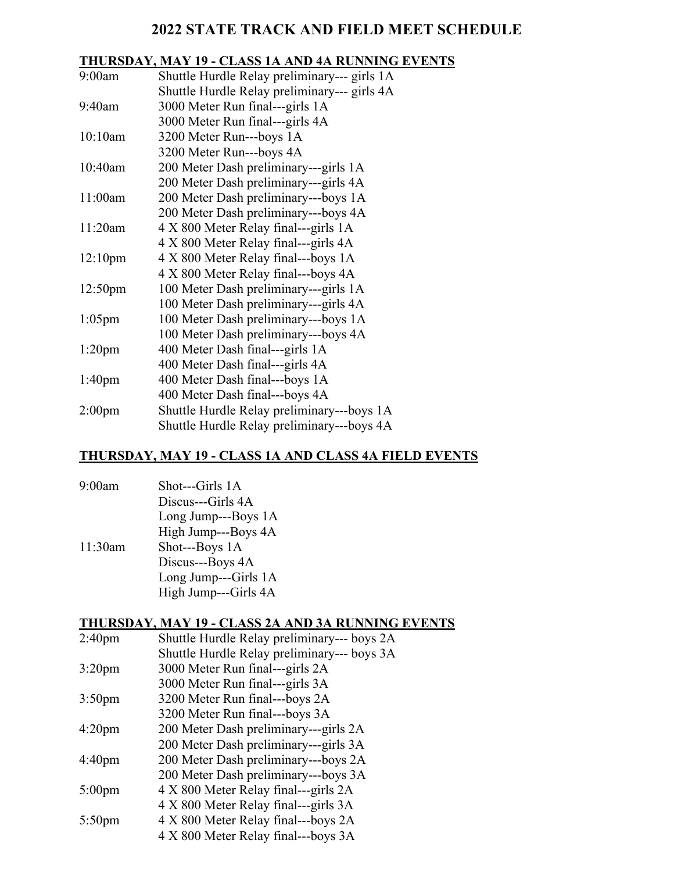# **2022 STATE TRACK AND FIELD MEET SCHEDULE**

# **THURSDAY, MAY 19 - CLASS 1A AND 4A RUNNING EVENTS**

| 9:00am              | Shuttle Hurdle Relay preliminary--- girls 1A |
|---------------------|----------------------------------------------|
|                     | Shuttle Hurdle Relay preliminary--- girls 4A |
| 9:40am              | 3000 Meter Run final---girls 1A              |
|                     | 3000 Meter Run final---girls 4A              |
| 10:10am             | 3200 Meter Run---boys 1A                     |
|                     | 3200 Meter Run---boys 4A                     |
| 10:40am             | 200 Meter Dash preliminary---girls 1A        |
|                     | 200 Meter Dash preliminary---girls 4A        |
| 11:00am             | 200 Meter Dash preliminary---boys 1A         |
|                     | 200 Meter Dash preliminary---boys 4A         |
| 11:20am             | 4 X 800 Meter Relay final---girls 1A         |
|                     | 4 X 800 Meter Relay final---girls 4A         |
| 12:10 <sub>pm</sub> | 4 X 800 Meter Relay final---boys 1A          |
|                     | 4 X 800 Meter Relay final---boys 4A          |
| 12:50 <sub>pm</sub> | 100 Meter Dash preliminary---girls 1A        |
|                     | 100 Meter Dash preliminary---girls 4A        |
| $1:05$ pm           | 100 Meter Dash preliminary---boys 1A         |
|                     | 100 Meter Dash preliminary---boys 4A         |
| $1:20$ pm           | 400 Meter Dash final---girls 1A              |
|                     | 400 Meter Dash final---girls 4A              |
| 1:40 <sub>pm</sub>  | 400 Meter Dash final---boys 1A               |
|                     | 400 Meter Dash final---boys 4A               |
| 2:00 <sub>pm</sub>  | Shuttle Hurdle Relay preliminary---boys 1A   |
|                     | Shuttle Hurdle Relay preliminary---boys 4A   |

# **THURSDAY, MAY 19 - CLASS 1A AND CLASS 4A FIELD EVENTS**

| 9:00am  | Shot---Girls 1A      |
|---------|----------------------|
|         | Discus---Girls 4A    |
|         | Long Jump---Boys 1A  |
|         | High Jump---Boys 4A  |
| 11:30am | Shot---Boys 1A       |
|         | Discus---Boys 4A     |
|         | Long Jump---Girls 1A |
|         | High Jump---Girls 4A |

### **THURSDAY, MAY 19 - CLASS 2A AND 3A RUNNING EVENTS**

| 2:40 <sub>pm</sub> | Shuttle Hurdle Relay preliminary--- boys 2A |
|--------------------|---------------------------------------------|
|                    | Shuttle Hurdle Relay preliminary--- boys 3A |
| $3:20 \text{pm}$   | 3000 Meter Run final---girls 2A             |
|                    | 3000 Meter Run final---girls 3A             |
| 3:50 <sub>pm</sub> | 3200 Meter Run final---boys 2A              |
|                    | 3200 Meter Run final---boys 3A              |
| 4:20pm             | 200 Meter Dash preliminary---girls 2A       |
|                    | 200 Meter Dash preliminary---girls 3A       |
| 4:40pm             | 200 Meter Dash preliminary---boys 2A        |
|                    | 200 Meter Dash preliminary---boys 3A        |
| $5:00 \text{pm}$   | 4 X 800 Meter Relay final---girls 2A        |
|                    | 4 X 800 Meter Relay final—girls 3A          |
| $5:50$ pm          | 4 X 800 Meter Relay final---boys 2A         |
|                    | 4 X 800 Meter Relay final---boys 3A         |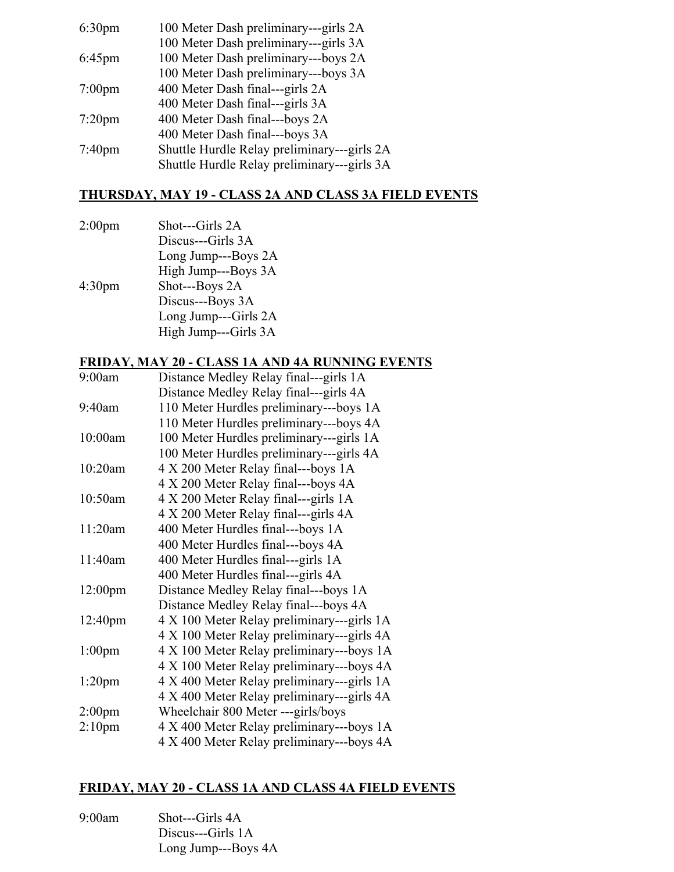| 100 Meter Dash preliminary---girls 3A<br>100 Meter Dash preliminary---boys 2A<br>$6:45$ pm<br>100 Meter Dash preliminary---boys 3A<br>400 Meter Dash final---girls 2A<br>$7:00$ pm<br>400 Meter Dash final---girls 3A<br>400 Meter Dash final---boys 2A<br>$7:20$ pm<br>400 Meter Dash final---boys 3A<br>7:40 <sub>pm</sub> | 6:30 <sub>pm</sub> | 100 Meter Dash preliminary---girls 2A       |
|------------------------------------------------------------------------------------------------------------------------------------------------------------------------------------------------------------------------------------------------------------------------------------------------------------------------------|--------------------|---------------------------------------------|
|                                                                                                                                                                                                                                                                                                                              |                    |                                             |
|                                                                                                                                                                                                                                                                                                                              |                    |                                             |
|                                                                                                                                                                                                                                                                                                                              |                    |                                             |
|                                                                                                                                                                                                                                                                                                                              |                    |                                             |
|                                                                                                                                                                                                                                                                                                                              |                    |                                             |
|                                                                                                                                                                                                                                                                                                                              |                    |                                             |
|                                                                                                                                                                                                                                                                                                                              |                    |                                             |
|                                                                                                                                                                                                                                                                                                                              |                    | Shuttle Hurdle Relay preliminary---girls 2A |
|                                                                                                                                                                                                                                                                                                                              |                    | Shuttle Hurdle Relay preliminary---girls 3A |

# **THURSDAY, MAY 19 - CLASS 2A AND CLASS 3A FIELD EVENTS**

| 2:00 <sub>pm</sub> | Shot---Girls 2A      |
|--------------------|----------------------|
|                    | Discus---Girls 3A    |
|                    | Long Jump---Boys 2A  |
|                    | High Jump---Boys 3A  |
| 4:30 <sub>pm</sub> | Shot---Boys 2A       |
|                    | Discus---Boys 3A     |
|                    | Long Jump---Girls 2A |
|                    | High Jump---Girls 3A |
|                    |                      |

### **FRIDAY, MAY 20 - CLASS 1A AND 4A RUNNING EVENTS**

| 9:00am              | Distance Medley Relay final---girls 1A     |
|---------------------|--------------------------------------------|
|                     | Distance Medley Relay final---girls 4A     |
| 9:40am              | 110 Meter Hurdles preliminary---boys 1A    |
|                     | 110 Meter Hurdles preliminary---boys 4A    |
| 10:00am             | 100 Meter Hurdles preliminary---girls 1A   |
|                     | 100 Meter Hurdles preliminary---girls 4A   |
| 10:20am             | 4 X 200 Meter Relay final---boys 1A        |
|                     | 4 X 200 Meter Relay final---boys 4A        |
| 10:50am             | 4 X 200 Meter Relay final---girls 1A       |
|                     | 4 X 200 Meter Relay final---girls 4A       |
| 11:20am             | 400 Meter Hurdles final---boys 1A          |
|                     | 400 Meter Hurdles final---boys 4A          |
| 11:40am             | 400 Meter Hurdles final---girls 1A         |
|                     | 400 Meter Hurdles final---girls 4A         |
| 12:00 <sub>pm</sub> | Distance Medley Relay final---boys 1A      |
|                     | Distance Medley Relay final---boys 4A      |
| 12:40 <sub>pm</sub> | 4 X 100 Meter Relay preliminary---girls 1A |
|                     | 4 X 100 Meter Relay preliminary---girls 4A |
| $1:00$ pm           | 4 X 100 Meter Relay preliminary---boys 1A  |
|                     | 4 X 100 Meter Relay preliminary---boys 4A  |
| 1:20 <sub>pm</sub>  | 4 X 400 Meter Relay preliminary---girls 1A |
|                     | 4 X 400 Meter Relay preliminary---girls 4A |
| 2:00 <sub>pm</sub>  | Wheelchair 800 Meter ---girls/boys         |
| 2:10 <sub>pm</sub>  | 4 X 400 Meter Relay preliminary---boys 1A  |
|                     | 4 X 400 Meter Relay preliminary---boys 4A  |

### **FRIDAY, MAY 20 - CLASS 1A AND CLASS 4A FIELD EVENTS**

| 9:00am | Shot---Girls 4A     |
|--------|---------------------|
|        | Discus---Girls 1A   |
|        | Long Jump---Boys 4A |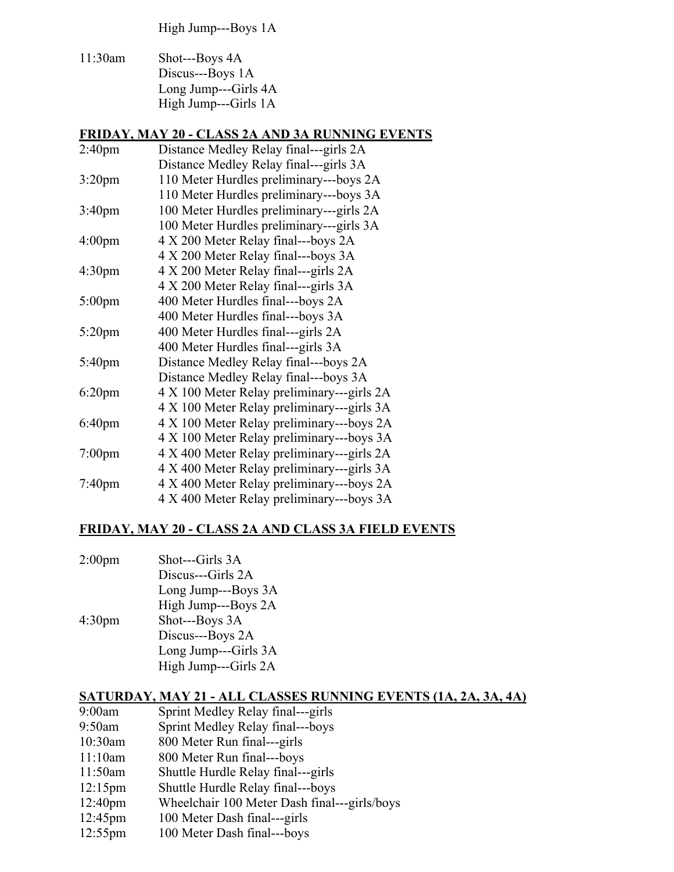High Jump---Boys 1A

11:30am Shot---Boys 4A Discus---Boys 1A Long Jump---Girls 4A High Jump---Girls 1A

#### **FRIDAY, MAY 20 - CLASS 2A AND 3A RUNNING EVENTS**

| 2:40 <sub>pm</sub> | Distance Medley Relay final---girls 2A     |
|--------------------|--------------------------------------------|
|                    | Distance Medley Relay final---girls 3A     |
| 3:20 <sub>pm</sub> | 110 Meter Hurdles preliminary---boys 2A    |
|                    | 110 Meter Hurdles preliminary---boys 3A    |
| 3:40 <sub>pm</sub> | 100 Meter Hurdles preliminary---girls 2A   |
|                    | 100 Meter Hurdles preliminary---girls 3A   |
| 4:00 <sub>pm</sub> | 4 X 200 Meter Relay final---boys 2A        |
|                    | 4 X 200 Meter Relay final---boys 3A        |
| 4:30pm             | 4 X 200 Meter Relay final---girls 2A       |
|                    | 4 X 200 Meter Relay final---girls 3A       |
| $5:00$ pm          | 400 Meter Hurdles final---boys 2A          |
|                    | 400 Meter Hurdles final---boys 3A          |
| $5:20$ pm          | 400 Meter Hurdles final---girls 2A         |
|                    | 400 Meter Hurdles final---girls 3A         |
| $5:40$ pm          | Distance Medley Relay final---boys 2A      |
|                    | Distance Medley Relay final---boys 3A      |
| $6:20$ pm          | 4 X 100 Meter Relay preliminary---girls 2A |
|                    | 4 X 100 Meter Relay preliminary---girls 3A |
| 6:40pm             | 4 X 100 Meter Relay preliminary---boys 2A  |
|                    | 4 X 100 Meter Relay preliminary---boys 3A  |
| $7:00$ pm          | 4 X 400 Meter Relay preliminary---girls 2A |
|                    | 4 X 400 Meter Relay preliminary---girls 3A |
| $7:40$ pm          | 4 X 400 Meter Relay preliminary---boys 2A  |
|                    | 4 X 400 Meter Relay preliminary---boys 3A  |

#### **FRIDAY, MAY 20 - CLASS 2A AND CLASS 3A FIELD EVENTS**

2:00pm Shot---Girls 3A Discus---Girls 2A Long Jump---Boys 3A High Jump---Boys 2A 4:30pm Shot---Boys 3A Discus---Boys 2A Long Jump---Girls 3A High Jump---Girls 2A

#### **SATURDAY, MAY 21 - ALL CLASSES RUNNING EVENTS (1A, 2A, 3A, 4A)**

- 9:00am Sprint Medley Relay final---girls
- 9:50am Sprint Medley Relay final---boys
- 10:30am 800 Meter Run final---girls
- 11:10am 800 Meter Run final---boys
- 11:50am Shuttle Hurdle Relay final---girls
- 12:15pm Shuttle Hurdle Relay final---boys
- 12:40pm Wheelchair 100 Meter Dash final---girls/boys
- 12:45pm 100 Meter Dash final---girls
- 12:55pm 100 Meter Dash final---boys